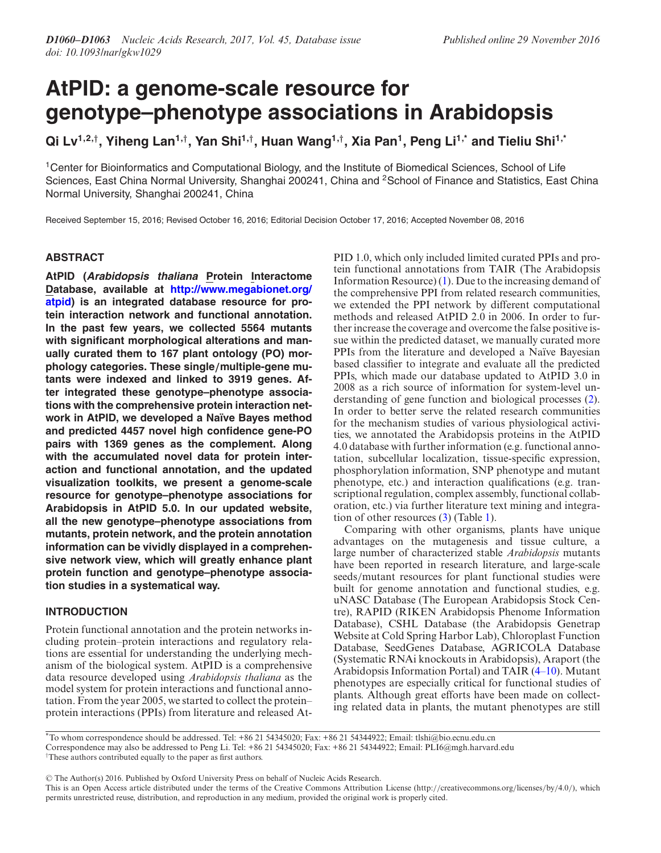# **AtPID: a genome-scale resource for genotype–phenotype associations in Arabidopsis**

**Qi Lv1,2,***†***, Yiheng Lan1,***†***, Yan Shi1,***†***, Huan Wang1,***†***, Xia Pan1, Peng Li1,\* and Tieliu Shi1,\***

1Center for Bioinformatics and Computational Biology, and the Institute of Biomedical Sciences, School of Life Sciences, East China Normal University, Shanghai 200241, China and <sup>2</sup>School of Finance and Statistics, East China Normal University, Shanghai 200241, China

Received September 15, 2016; Revised October 16, 2016; Editorial Decision October 17, 2016; Accepted November 08, 2016

# **ABSTRACT**

**AtPID (Arabidopsis thaliana Protein Interactome Database, available at http://www.megabionet.org/ [atpid\) is an integrated database resource for pro](http://www.megabionet.org/atpid)tein interaction network and functional annotation. In the past few years, we collected 5564 mutants with significant morphological alterations and manually curated them to 167 plant ontology (PO) morphology categories. These single***/***multiple-gene mutants were indexed and linked to 3919 genes. After integrated these genotype–phenotype associations with the comprehensive protein interaction network in AtPID, we developed a Na¨ıve Bayes method and predicted 4457 novel high confidence gene-PO pairs with 1369 genes as the complement. Along with the accumulated novel data for protein interaction and functional annotation, and the updated visualization toolkits, we present a genome-scale resource for genotype–phenotype associations for Arabidopsis in AtPID 5.0. In our updated website, all the new genotype–phenotype associations from mutants, protein network, and the protein annotation information can be vividly displayed in a comprehensive network view, which will greatly enhance plant protein function and genotype–phenotype association studies in a systematical way.**

## **INTRODUCTION**

Protein functional annotation and the protein networks including protein–protein interactions and regulatory relations are essential for understanding the underlying mechanism of the biological system. AtPID is a comprehensive data resource developed using *Arabidopsis thaliana* as the model system for protein interactions and functional annotation. From the year 2005, we started to collect the protein– protein interactions (PPIs) from literature and released AtPID 1.0, which only included limited curated PPIs and protein functional annotations from TAIR (The Arabidopsis Information Resource) [\(1\)](#page-3-0). Due to the increasing demand of the comprehensive PPI from related research communities, we extended the PPI network by different computational methods and released AtPID 2.0 in 2006. In order to further increase the coverage and overcome the false positive issue within the predicted dataset, we manually curated more PPIs from the literature and developed a Naïve Bayesian based classifier to integrate and evaluate all the predicted PPIs, which made our database updated to AtPID 3.0 in 2008 as a rich source of information for system-level understanding of gene function and biological processes [\(2\)](#page-3-0). In order to better serve the related research communities for the mechanism studies of various physiological activities, we annotated the Arabidopsis proteins in the AtPID 4.0 database with further information (e.g. functional annotation, subcellular localization, tissue-specific expression, phosphorylation information, SNP phenotype and mutant phenotype, etc.) and interaction qualifications (e.g. transcriptional regulation, complex assembly, functional collaboration, etc.) via further literature text mining and integration of other resources [\(3\)](#page-3-0) (Table [1\)](#page-1-0).

Comparing with other organisms, plants have unique advantages on the mutagenesis and tissue culture, a large number of characterized stable *Arabidopsis* mutants have been reported in research literature, and large-scale seeds/mutant resources for plant functional studies were built for genome annotation and functional studies, e.g. uNASC Database (The European Arabidopsis Stock Centre), RAPID (RIKEN Arabidopsis Phenome Information Database), CSHL Database (the Arabidopsis Genetrap Website at Cold Spring Harbor Lab), Chloroplast Function Database, SeedGenes Database, AGRICOLA Database (Systematic RNAi knockouts in Arabidopsis), Araport (the Arabidopsis Information Portal) and TAIR [\(4–10\)](#page-3-0). Mutant phenotypes are especially critical for functional studies of plants. Although great efforts have been made on collecting related data in plants, the mutant phenotypes are still

\*To whom correspondence should be addressed. Tel: +86 21 54345020; Fax: +86 21 54344922; Email: tlshi@bio.ecnu.edu.cn Correspondence may also be addressed to Peng Li. Tel: +86 21 54345020; Fax: +86 21 54344922; Email: PLI6@mgh.harvard.edu †These authors contributed equally to the paper as first authors.

-<sup>C</sup> The Author(s) 2016. Published by Oxford University Press on behalf of Nucleic Acids Research.

This is an Open Access article distributed under the terms of the Creative Commons Attribution License (http://creativecommons.org/licenses/by/4.0/), which permits unrestricted reuse, distribution, and reproduction in any medium, provided the original work is properly cited.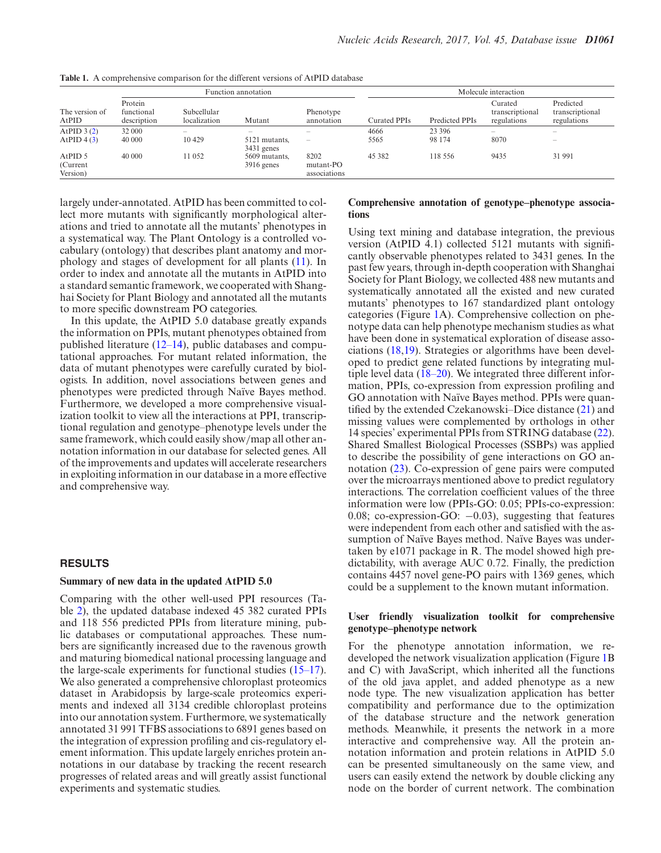|                                  | Function annotation                  |                                     |                                               |                                   | Molecule interaction |                   |                                           |                                             |
|----------------------------------|--------------------------------------|-------------------------------------|-----------------------------------------------|-----------------------------------|----------------------|-------------------|-------------------------------------------|---------------------------------------------|
| The version of<br>AtPID          | Protein<br>functional<br>description | Subcellular<br>localization         | Mutant                                        | Phenotype<br>annotation           | Curated PPIs         | Predicted PPIs    | Curated<br>transcriptional<br>regulations | Predicted<br>transcriptional<br>regulations |
| AtPID $3(2)$<br>AtPID 4(3)       | 32 000<br>40 000                     | $\overline{\phantom{a}}$<br>10 4 29 | 5121 mutants,                                 | -<br>$\equiv$                     | 4666<br>5565         | 23 39 6<br>98 174 | $\overline{\phantom{a}}$<br>8070          | $\overline{\phantom{a}}$                    |
| AtPID 5<br>(Current)<br>Version) | 40 000                               | 11 052                              | $3431$ genes<br>5609 mutants,<br>$3916$ genes | 8202<br>mutant-PO<br>associations | 45 3 82              | 118 556           | 9435                                      | 31 991                                      |

<span id="page-1-0"></span>**Table 1.** A comprehensive comparison for the different versions of AtPID database

largely under-annotated. AtPID has been committed to collect more mutants with significantly morphological alterations and tried to annotate all the mutants' phenotypes in a systematical way. The Plant Ontology is a controlled vocabulary (ontology) that describes plant anatomy and morphology and stages of development for all plants [\(11\)](#page-3-0). In order to index and annotate all the mutants in AtPID into a standard semantic framework, we cooperated with Shanghai Society for Plant Biology and annotated all the mutants to more specific downstream PO categories.

In this update, the AtPID 5.0 database greatly expands the information on PPIs, mutant phenotypes obtained from published literature [\(12–14\)](#page-3-0), public databases and computational approaches. For mutant related information, the data of mutant phenotypes were carefully curated by biologists. In addition, novel associations between genes and phenotypes were predicted through Naïve Bayes method. Furthermore, we developed a more comprehensive visualization toolkit to view all the interactions at PPI, transcriptional regulation and genotype–phenotype levels under the same framework, which could easily show/map all other annotation information in our database for selected genes. All of the improvements and updates will accelerate researchers in exploiting information in our database in a more effective and comprehensive way.

# **RESULTS**

#### **Summary of new data in the updated AtPID 5.0**

Comparing with the other well-used PPI resources (Table [2\)](#page-2-0), the updated database indexed 45 382 curated PPIs and 118 556 predicted PPIs from literature mining, public databases or computational approaches. These numbers are significantly increased due to the ravenous growth and maturing biomedical national processing language and the large-scale experiments for functional studies [\(15–17\)](#page-3-0). We also generated a comprehensive chloroplast proteomics dataset in Arabidopsis by large-scale proteomics experiments and indexed all 3134 credible chloroplast proteins into our annotation system. Furthermore, we systematically annotated 31 991 TFBS associations to 6891 genes based on the integration of expression profiling and cis-regulatory element information. This update largely enriches protein annotations in our database by tracking the recent research progresses of related areas and will greatly assist functional experiments and systematic studies.

#### **Comprehensive annotation of genotype–phenotype associations**

Using text mining and database integration, the previous version (AtPID 4.1) collected 5121 mutants with significantly observable phenotypes related to 3431 genes. In the past few years, through in-depth cooperation with Shanghai Society for Plant Biology, we collected 488 new mutants and systematically annotated all the existed and new curated mutants' phenotypes to 167 standardized plant ontology categories (Figure [1A](#page-2-0)). Comprehensive collection on phenotype data can help phenotype mechanism studies as what have been done in systematical exploration of disease associations [\(18,19\)](#page-3-0). Strategies or algorithms have been developed to predict gene related functions by integrating multiple level data [\(18–20\)](#page-3-0). We integrated three different information, PPIs, co-expression from expression profiling and GO annotation with Naïve Bayes method. PPIs were quantified by the extended Czekanowski–Dice distance [\(21\)](#page-3-0) and missing values were complemented by orthologs in other 14 species' experimental PPIs from STRING database [\(22\)](#page-3-0). Shared Smallest Biological Processes (SSBPs) was applied to describe the possibility of gene interactions on GO annotation [\(23\)](#page-3-0). Co-expression of gene pairs were computed over the microarrays mentioned above to predict regulatory interactions. The correlation coefficient values of the three information were low (PPIs-GO: 0.05; PPIs-co-expression: 0.08; co-expression-GO:  $-0.03$ ), suggesting that features were independent from each other and satisfied with the assumption of Naïve Bayes method. Naïve Bayes was undertaken by e1071 package in R. The model showed high predictability, with average AUC 0.72. Finally, the prediction contains 4457 novel gene-PO pairs with 1369 genes, which could be a supplement to the known mutant information.

### **User friendly visualization toolkit for comprehensive genotype–phenotype network**

For the phenotype annotation information, we redeveloped the network visualization application (Figure [1B](#page-2-0) and C) with JavaScript, which inherited all the functions of the old java applet, and added phenotype as a new node type. The new visualization application has better compatibility and performance due to the optimization of the database structure and the network generation methods. Meanwhile, it presents the network in a more interactive and comprehensive way. All the protein annotation information and protein relations in AtPID 5.0 can be presented simultaneously on the same view, and users can easily extend the network by double clicking any node on the border of current network. The combination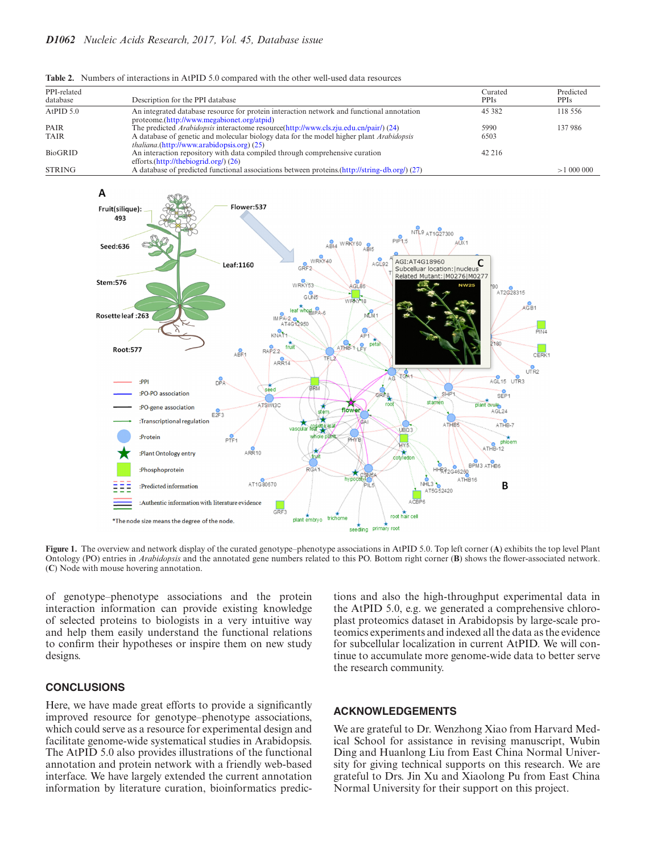| PPI-related<br>database | Description for the PPI database                                                                                                                     | Curated<br><b>PPIs</b> | Predicted<br><b>PPIs</b> |
|-------------------------|------------------------------------------------------------------------------------------------------------------------------------------------------|------------------------|--------------------------|
| AtPID $5.0$             | An integrated database resource for protein interaction network and functional annotation<br>proteome.(http://www.megabionet.org/atpid)              | 45 382                 | 118.556                  |
| PAIR                    | The predicted <i>Arabidopsis</i> interactome resource(http://www.cls.zju.edu.cn/pair/) (24)                                                          | 5990                   | 137986                   |
| <b>TAIR</b>             | A database of genetic and molecular biology data for the model higher plant <i>Arabidopsis</i><br><i>thaliana.</i> (http://www.arabidopsis.org) (25) | 6503                   |                          |
| BioGRID                 | An interaction repository with data compiled through comprehensive curation<br>efforts. $(\frac{http://thebiogrid.org/}{26})$                        | 42 216                 |                          |
| <b>STRING</b>           | A database of predicted functional associations between proteins (http://string-db.org/) (27)                                                        |                        | >1000000                 |

<span id="page-2-0"></span>**Table 2.** Numbers of interactions in AtPID 5.0 compared with the other well-used data resources



**Figure 1.** The overview and network display of the curated genotype–phenotype associations in AtPID 5.0. Top left corner (**A**) exhibits the top level Plant Ontology (PO) entries in *Arabidopsis* and the annotated gene numbers related to this PO. Bottom right corner (**B**) shows the flower-associated network. (**C**) Node with mouse hovering annotation.

of genotype–phenotype associations and the protein interaction information can provide existing knowledge of selected proteins to biologists in a very intuitive way and help them easily understand the functional relations to confirm their hypotheses or inspire them on new study designs.

# **CONCLUSIONS**

Here, we have made great efforts to provide a significantly improved resource for genotype–phenotype associations, which could serve as a resource for experimental design and facilitate genome-wide systematical studies in Arabidopsis. The AtPID 5.0 also provides illustrations of the functional annotation and protein network with a friendly web-based interface. We have largely extended the current annotation information by literature curation, bioinformatics predictions and also the high-throughput experimental data in the AtPID 5.0, e.g. we generated a comprehensive chloroplast proteomics dataset in Arabidopsis by large-scale proteomics experiments and indexed all the data as the evidence for subcellular localization in current AtPID. We will continue to accumulate more genome-wide data to better serve the research community.

#### **ACKNOWLEDGEMENTS**

We are grateful to Dr. Wenzhong Xiao from Harvard Medical School for assistance in revising manuscript, Wubin Ding and Huanlong Liu from East China Normal University for giving technical supports on this research. We are grateful to Drs. Jin Xu and Xiaolong Pu from East China Normal University for their support on this project.